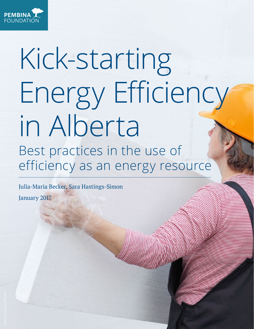

# Kick-starting Energy Efficiency in Alberta Best practices in the use of efficiency as an energy resource

Julia-Maria Becker, Sara Hastings-Simon

January 2017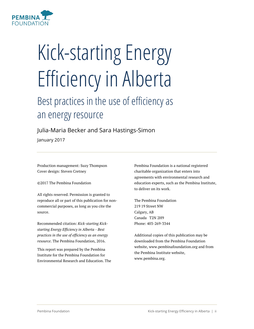

# Kick-starting Energy Efficiency in Alberta

# Best practices in the use of efficiency as an energy resource

Julia-Maria Becker and Sara Hastings-Simon

January 2017

Production management: Suzy Thompson Cover design: Steven Cretney

©2017 The Pembina Foundation

All rights reserved. Permission is granted to reproduce all or part of this publication for noncommercial purposes, as long as you cite the source.

Recommended citation: *Kick-starting Kickstarting Energy Efficiency in Alberta - Best practices in the use of efficiency as an energy resource*. The Pembina Foundation, 2016.

This report was prepared by the Pembina Institute for the Pembina Foundation for Environmental Research and Education. The Pembina Foundation is a national registered charitable organization that enters into agreements with environmental research and education experts, such as the Pembina Institute, to deliver on its work.

The Pembina Foundation 219 19 Street NW Calgary, AB Canada T2N 2H9 Phone: 403-269-3344

Additional copies of this publication may be downloaded from the Pembina Foundation website, www.pembinafoundation.org and from the Pembina Institute website, www.pembina.org.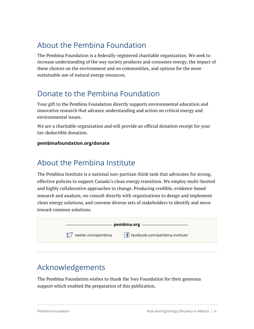# About the Pembina Foundation

The Pembina Foundation is a federally-registered charitable organization. We seek to increase understanding of the way society produces and consumes energy, the impact of these choices on the environment and on communities, and options for the more sustainable use of natural energy resources.

### Donate to the Pembina Foundation

Your gift to the Pembina Foundation directly supports environmental education and innovative research that advance understanding and action on critical energy and environmental issues.

We are a charitable organization and will provide an official donation receipt for your tax-deductible donation.

#### **pembinafoundation.org/donate**

## About the Pembina Institute

The Pembina Institute is a national non-partisan think tank that advocates for strong, effective policies to support Canada's clean energy transition. We employ multi-faceted and highly collaborative approaches to change. Producing credible, evidence-based research and analysis, we consult directly with organizations to design and implement clean energy solutions, and convene diverse sets of stakeholders to identify and move toward common solutions.



# Acknowledgements

The Pembina Foundation wishes to thank the Ivey Foundation for their generous support which enabled the preparation of this publication.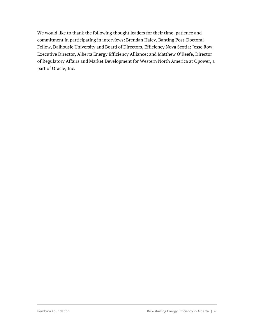We would like to thank the following thought leaders for their time, patience and commitment in participating in interviews: Brendan Haley, Banting Post-Doctoral Fellow, Dalhousie University and Board of Directors, Efficiency Nova Scotia; Jesse Row, Executive Director, Alberta Energy Efficiency Alliance; and Matthew O'Keefe, Director of Regulatory Affairs and Market Development for Western North America at Opower, a part of Oracle, Inc.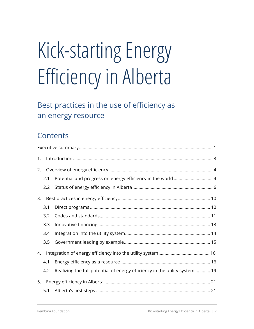# Kick-starting Energy Efficiency in Alberta

# Best practices in the use of efficiency as an energy resource

# **Contents**

| 1. |     |                                                                             |  |  |  |
|----|-----|-----------------------------------------------------------------------------|--|--|--|
| 2. |     |                                                                             |  |  |  |
|    | 2.1 |                                                                             |  |  |  |
|    | 2.2 |                                                                             |  |  |  |
| 3. |     |                                                                             |  |  |  |
|    | 3.1 |                                                                             |  |  |  |
|    | 3.2 |                                                                             |  |  |  |
|    | 3.3 |                                                                             |  |  |  |
|    | 3.4 |                                                                             |  |  |  |
|    | 3.5 |                                                                             |  |  |  |
| 4. |     |                                                                             |  |  |  |
|    | 4.1 |                                                                             |  |  |  |
|    | 4.2 | Realizing the full potential of energy efficiency in the utility system  19 |  |  |  |
|    |     |                                                                             |  |  |  |
|    | 5.1 |                                                                             |  |  |  |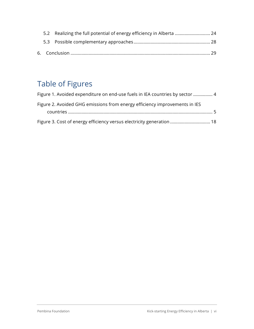|  | 5.2 Realizing the full potential of energy efficiency in Alberta  24 |  |
|--|----------------------------------------------------------------------|--|
|  |                                                                      |  |
|  |                                                                      |  |

# Table of Figures

| Figure 1. Avoided expenditure on end-use fuels in IEA countries by sector  4 |  |
|------------------------------------------------------------------------------|--|
| Figure 2. Avoided GHG emissions from energy efficiency improvements in IES   |  |
|                                                                              |  |
| Figure 3. Cost of energy efficiency versus electricity generation  18        |  |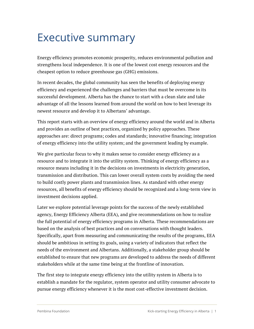# Executive summary

Energy efficiency promotes economic prosperity, reduces environmental pollution and strengthens local independence. It is one of the lowest cost energy resources and the cheapest option to reduce greenhouse gas (GHG) emissions.

In recent decades, the global community has seen the benefits of deploying energy efficiency and experienced the challenges and barriers that must be overcome in its successful development. Alberta has the chance to start with a clean slate and take advantage of all the lessons learned from around the world on how to best leverage its newest resource and develop it to Albertans' advantage.

This report starts with an overview of energy efficiency around the world and in Alberta and provides an outline of best practices, organized by policy approaches. These approaches are: direct programs; codes and standards; innovative financing; integration of energy efficiency into the utility system; and the government leading by example.

We give particular focus to why it makes sense to consider energy efficiency as a resource and to integrate it into the utility system. Thinking of energy efficiency as a resource means including it in the decisions on investments in electricity generation, transmission and distribution. This can lower overall system costs by avoiding the need to build costly power plants and transmission lines. As standard with other energy resources, all benefits of energy efficiency should be recognized and a long-term view in investment decisions applied.

Later we explore potential leverage points for the success of the newly established agency, Energy Efficiency Alberta (EEA), and give recommendations on how to realize the full potential of energy efficiency programs in Alberta. These recommendations are based on the analysis of best practices and on conversations with thought leaders. Specifically, apart from measuring and communicating the results of the programs, EEA should be ambitious in setting its goals, using a variety of indicators that reflect the needs of the environment and Albertans. Additionally, a stakeholder group should be established to ensure that new programs are developed to address the needs of different stakeholders while at the same time being at the frontline of innovation.

The first step to integrate energy efficiency into the utility system in Alberta is to establish a mandate for the regulator, system operator and utility consumer advocate to pursue energy efficiency whenever it is the most cost-effective investment decision.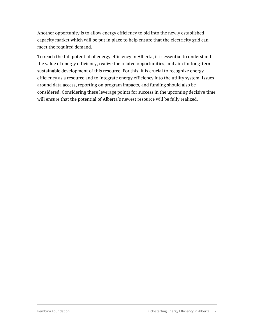Another opportunity is to allow energy efficiency to bid into the newly established capacity market which will be put in place to help ensure that the electricity grid can meet the required demand.

To reach the full potential of energy efficiency in Alberta, it is essential to understand the value of energy efficiency, realize the related opportunities, and aim for long-term sustainable development of this resource. For this, it is crucial to recognize energy efficiency as a resource and to integrate energy efficiency into the utility system. Issues around data access, reporting on program impacts, and funding should also be considered. Considering these leverage points for success in the upcoming decisive time will ensure that the potential of Alberta's newest resource will be fully realized.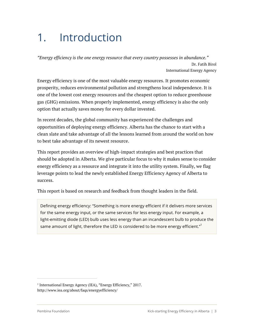# 1. Introduction

*"Energy efficiency is the one energy resource that every country possesses in abundance."* Dr. Fatih Birol International Energy Agency

Energy efficiency is one of the most valuable energy resources. It promotes economic prosperity, reduces environmental pollution and strengthens local independence. It is one of the lowest cost energy resources and the cheapest option to reduce greenhouse gas (GHG) emissions. When properly implemented, energy efficiency is also the only option that actually saves money for every dollar invested.

In recent decades, the global community has experienced the challenges and opportunities of deploying energy efficiency. Alberta has the chance to start with a clean slate and take advantage of all the lessons learned from around the world on how to best take advantage of its newest resource.

This report provides an overview of high-impact strategies and best practices that should be adopted in Alberta. We give particular focus to why it makes sense to consider energy efficiency as a resource and integrate it into the utility system. Finally, we flag leverage points to lead the newly established Energy Efficiency Agency of Alberta to success.

This report is based on research and feedback from thought leaders in the field.

Defining energy efficiency: "Something is more energy efficient if it delivers more services for the same energy input, or the same services for less energy input. For example, a light-emitting diode (LED) bulb uses less energy than an incandescent bulb to produce the same amount of light, therefore the LED is considered to be more energy efficient." $1$ 

<sup>&</sup>lt;sup>1</sup> International Energy Agency (IEA), "Energy Efficiency," 2017. http://www.iea.org/about/faqs/energyefficiency/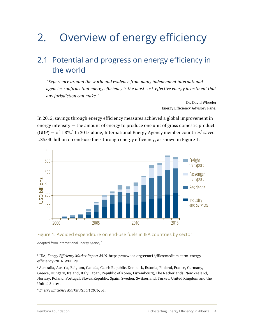# 2. Overview of energy efficiency

## 2.1 Potential and progress on energy efficiency in the world

*"Experience around the world and evidence from many independent international agencies confirms that energy efficiency is the most cost-effective energy investment that any jurisdiction can make."*

> Dr. David Wheeler Energy Efficiency Advisory Panel

In 2015, savings through energy efficiency measures achieved a global improvement in energy intensity — the amount of energy to produce one unit of gross domestic product  $(GDP)$  – of 1.8%.<sup>2</sup> In 2015 alone, International Energy Agency member countries<sup>3</sup> saved US\$540 billion on end-use fuels through energy efficiency, as shown in Figure 1.





Adapted from International Energy Agency <sup>4</sup>

<sup>2</sup> IEA, *Energy Efficiency Market Report 2016*. https://www.iea.org/eemr16/files/medium-term-energyefficiency-2016\_WEB.PDF

<sup>3</sup> Australia, Austria, Belgium, Canada, Czech Republic, Denmark, Estonia, Finland, France, Germany, Greece, Hungary, Ireland, Italy, Japan, Republic of Korea, Luxembourg, The Netherlands, New Zealand, Norway, Poland, Portugal, Slovak Republic, Spain, Sweden, Switzerland, Turkey, United Kingdom and the United States.

<sup>4</sup> *Energy Efficiency Market Report 2016*, 31*.*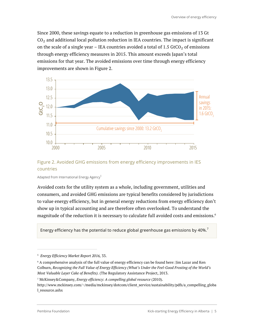Since 2000, these savings equate to a reduction in greenhouse gas emissions of 13 Gt  $CO<sub>2</sub>$  and additional local pollution reduction in IEA countries. The impact is significant on the scale of a single year – IEA countries avoided a total of  $1.5$  GtCO<sub>2</sub> of emissions through energy efficiency measures in 2015. This amount exceeds Japan's total emissions for that year. The avoided emissions over time through energy efficiency improvements are shown in Figure 2.



#### Figure 2. Avoided GHG emissions from energy efficiency improvements in IES countries

Adapted from International Energy Agency<sup>5</sup>

Avoided costs for the utility system as a whole, including government, utilities and consumers, and avoided GHG emissions are typical benefits considered by jurisdictions to value energy efficiency, but in general energy reductions from energy efficiency don't show up in typical accounting and are therefore often overlooked. To understand the magnitude of the reduction it is necessary to calculate full avoided costs and emissions.<sup>6</sup>

Energy efficiency has the potential to reduce global greenhouse gas emissions by 40%.<sup>7</sup>

<sup>7</sup> McKinsey&Company, *Energy efficiency: A compelling global resource* (2010)*.* http://www.mckinsey.com/~/media/mckinsey/dotcom/client\_service/sustainability/pdfs/a\_compelling\_globa l\_resource.ashx

<sup>5</sup> *Energy Efficiency Market Report 2016,* 33.

 $6$  A comprehensive analysis of the full value of energy efficiency can be found here: Jim Lazar and Ken Colburn, *Recognizing the Full Value of Energy Efficiency (What's Under the Feel-Good Frosting of the World's Most Valuable Layer Cake of Benefits).* (The Regulatory Assistance Project, 2013.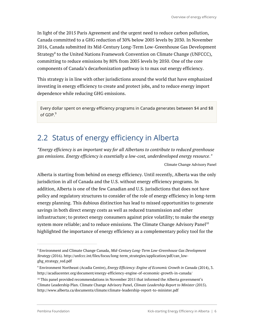In light of the 2015 Paris Agreement and the urgent need to reduce carbon pollution, Canada committed to a GHG reduction of 30% below 2005 levels by 2030. In November 2016, Canada submitted its Mid-Century Long-Term Low-Greenhouse Gas Development Strategy<sup>8</sup> to the United Nations Framework Convention on Climate Change (UNFCCC), committing to reduce emissions by 80% from 2005 levels by 2050. One of the core components of Canada's decarbonization pathway is to max out energy efficiency.

This strategy is in line with other jurisdictions around the world that have emphasized investing in energy efficiency to create and protect jobs, and to reduce energy import dependence while reducing GHG emissions.

Every dollar spent on energy efficiency programs in Canada generates between \$4 and \$8 of GDP.<sup>9</sup>

# 2.2 Status of energy efficiency in Alberta

*"Energy efficiency is an important way for all Albertans to contribute to reduced greenhouse gas emissions. Energy efficiency is essentially a low-cost, underdeveloped energy resource."*

Climate Change Advisory Panel

Alberta is starting from behind on energy efficiency. Until recently, Alberta was the only jurisdiction in all of Canada and the U.S. without energy efficiency programs. In addition, Alberta is one of the few Canadian and U.S. jurisdictions that does not have policy and regulatory structures to consider of the role of energy efficiency in long-term energy planning. This dubious distinction has lead to missed opportunities to generate savings in both direct energy costs as well as reduced transmission and other infrastructure; to protect energy consumers against price volatility; to make the energy system more reliable; and to reduce emissions. The Climate Change Advisory Panel<sup>10</sup> highlighted the importance of energy efficiency as a complementary policy tool for the

<sup>8</sup> Environment and Climate Change Canada, *Mid-Century Long-Term Low-Greenhouse Gas Development Strategy* (2016). http://unfccc.int/files/focus/long-term\_strategies/application/pdf/can\_lowghg\_strategy\_red.pdf

<sup>9</sup> Environment Northeast (Acadia Centre), *Energy Efficiency: Engine of Economic Growth in Canada* (2014), 3. http://acadiacenter.org/document/energy-efficiency-engine-of-economic-growth-in-canada/

 $10$  This panel provided recommendations in November 2015 that informed the Alberta government's Climate Leadership Plan. Climate Change Advisory Panel, *Climate Leadership Report to Minister* (2015). http://www.alberta.ca/documents/climate/climate-leadership-report-to-minister.pdf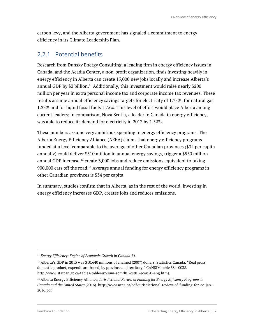carbon levy, and the Alberta government has signaled a commitment to energy efficiency in its Climate Leadership Plan.

#### 2.2.1 Potential benefits

Research from Dunsky Energy Consulting, a leading firm in energy efficiency issues in Canada, and the Acadia Center, a non-profit organization, finds investing heavily in energy efficiency in Alberta can create 15,000 new jobs locally and increase Alberta's annual GDP by \$3 billion. <sup>11</sup> Additionally, this investment would raise nearly \$200 million per year in extra personal income tax and corporate income tax revenues. These results assume annual efficiency savings targets for electricity of 1.75%, for natural gas 1.25% and for liquid fossil fuels 1.75%. This level of effort would place Alberta among current leaders; in comparison, Nova Scotia, a leader in Canada in energy efficiency, was able to reduce its demand for electricity in 2012 by 1.52%.

These numbers assume very ambitious spending in energy efficiency programs. The Alberta Energy Efficiency Alliance (AEEA) claims that energy efficiency programs funded at a level comparable to the average of other Canadian provinces (\$34 per capita annually) could deliver \$510 million in annual energy savings, trigger a \$550 million annual GDP increase, $^{12}$  create 3,000 jobs and reduce emissions equivalent to taking 900,000 cars off the road.<sup>13</sup> Average annual funding for energy efficiency programs in other Canadian provinces is \$34 per capita.

In summary, studies confirm that in Alberta, as in the rest of the world, investing in energy efficiency increases GDP, creates jobs and reduces emissions.

<sup>11</sup> *Energy Efficiency: Engine of Economic Growth in Canada.51.*

 $12$  Alberta's GDP in 2015 was 310,640 millions of chained (2007) dollars. Statistics Canada, "Real gross domestic product, expenditure-based, by province and territory," CANSIM table 384-0038. http://www.statcan.gc.ca/tables-tableaux/sum-som/l01/cst01/econ50-eng.htm).

<sup>13</sup> Alberta Energy Efficiency Alliance, *Jurisdictional Review of Funding for Energy Efficiency Programs in Canada and the United States* (2016). http://www.aeea.ca/pdf/jurisdictional-review-of-funding-for-ee-jan-2016.pdf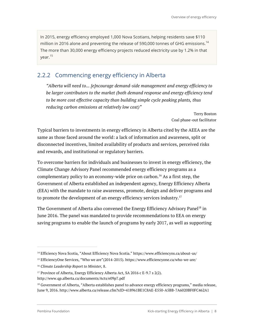In 2015, energy efficiency employed 1,000 Nova Scotians, helping residents save \$110 million in 2016 alone and preventing the release of 590,000 tonnes of GHG emissions. $^{\rm 14}$ The more than 30,000 energy efficiency projects reduced electricity use by 1.2% in that year.<sup>15</sup>

#### 2.2.2 Commencing energy efficiency in Alberta

*"Alberta will need to... [e]ncourage demand-side management and energy efficiency to be larger contributors to the market (both demand response and energy efficiency tend to be more cost effective capacity than building simple cycle peaking plants, thus reducing carbon emissions at relatively low cost)"*

> Terry Boston Coal phase-out facilitator

Typical barriers to investments in energy efficiency in Alberta cited by the AEEA are the same as those faced around the world: a lack of information and awareness, split or disconnected incentives, limited availability of products and services, perceived risks and rewards, and institutional or regulatory barriers.

To overcome barriers for individuals and businesses to invest in energy efficiency, the Climate Change Advisory Panel recommended energy efficiency programs as a complementary policy to an economy-wide price on carbon. <sup>16</sup> As a first step, the Government of Alberta established an independent agency, Energy Efficiency Alberta (EEA) with the mandate to raise awareness, promote, design and deliver programs and to promote the development of an energy efficiency services industry.<sup>17</sup>

The Government of Alberta also convened the Energy Efficiency Advisory Panel<sup>18</sup> in June 2016. The panel was mandated to provide recommendations to EEA on energy saving programs to enable the launch of programs by early 2017, as well as supporting

<sup>14</sup> Efficiency Nova Scotia, "About Efficiency Nova Scotia." https://www.efficiencyns.ca/about-us/

<sup>&</sup>lt;sup>15</sup> EfficiencyOne Services, "Who we are"(2014-2015). https://www.efficiencyone.ca/who-we-are/

<sup>16</sup> *Climate Leadership Report to Minister,* 8.

<sup>&</sup>lt;sup>17</sup> Province of Alberta, Energy Efficiency Alberta Act, SA 2016 c E-9.7 s 2(2).

http://www.qp.alberta.ca/documents/Acts/e09p7.pdf

<sup>18</sup> Government of Alberta, "Alberta establishes panel to advance energy efficiency programs," media release, June 9, 2016. http://www.alberta.ca/release.cfm?xID=418961BE1C8AE-E550-A5BB-7A6020BF0FC462A1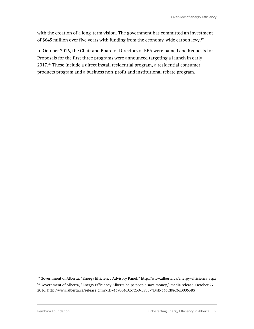with the creation of a long-term vision. The government has committed an investment of \$645 million over five years with funding from the economy-wide carbon levy.<sup>19</sup>

In October 2016, the Chair and Board of Directors of EEA were named and Requests for Proposals for the first three programs were announced targeting a launch in early  $2017.^{20}$  These include a direct install residential program, a residential consumer products program and a business non-profit and institutional rebate program.

<sup>19</sup> Government of Alberta, "Energy Efficiency Advisory Panel." http://www.alberta.ca/energy-efficiency.aspx

<sup>&</sup>lt;sup>20</sup> Government of Alberta, "Energy Efficiency Alberta helps people save money," media release, October 27, 2016. http://www.alberta.ca/release.cfm?xID=4370646A37239-E955-7D4E-646CB8636D0063B3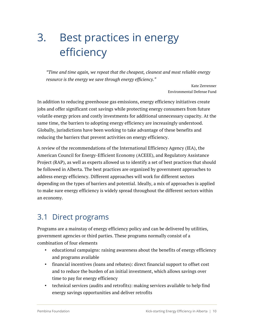# 3. Best practices in energy efficiency

*"Time and time again, we repeat that the cheapest, cleanest and most reliable energy resource is the energy we save through energy efficiency."*

> Kate Zerrenner Environmental Defense Fund

In addition to reducing greenhouse gas emissions, energy efficiency initiatives create jobs and offer significant cost savings while protecting energy consumers from future volatile energy prices and costly investments for additional unnecessary capacity. At the same time, the barriers to adopting energy efficiency are increasingly understood. Globally, jurisdictions have been working to take advantage of these benefits and reducing the barriers that prevent activities on energy efficiency.

A review of the recommendations of the International Efficiency Agency (IEA), the American Council for Energy-Efficient Economy (ACEEE), and Regulatory Assistance Project (RAP), as well as experts allowed us to identify a set of best practices that should be followed in Alberta. The best practices are organized by government approaches to address energy efficiency. Different approaches will work for different sectors depending on the types of barriers and potential. Ideally, a mix of approaches is applied to make sure energy efficiency is widely spread throughout the different sectors within an economy.

## 3.1 Direct programs

Programs are a mainstay of energy efficiency policy and can be delivered by utilities, government agencies or third parties. These programs normally consist of a combination of four elements

- educational campaigns: raising awareness about the benefits of energy efficiency and programs available
- financial incentives (loans and rebates): direct financial support to offset cost and to reduce the burden of an initial investment, which allows savings over time to pay for energy efficiency
- technical services (audits and retrofits): making services available to help find energy savings opportunities and deliver retrofits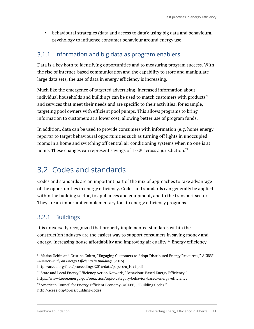• behavioural strategies (data and access to data): using big data and behavioural psychology to influence consumer behaviour around energy use.

#### 3.1.1 Information and big data as program enablers

Data is a key both to identifying opportunities and to measuring program success. With the rise of internet-based communication and the capability to store and manipulate large data sets, the use of data in energy efficiency is increasing.

Much like the emergence of targeted advertising, increased information about individual households and buildings can be used to match customers with products<sup>21</sup> and services that meet their needs and are specific to their activities; for example, targeting pool owners with efficient pool pumps. This allows programs to bring information to customers at a lower cost, allowing better use of program funds.

In addition, data can be used to provide consumers with information (e.g. home energy reports) to target behavioural opportunities such as turning off lights in unoccupied rooms in a home and switching off central air conditioning systems when no one is at home. These changes can represent savings of 1-3% across a jurisdiction. $^\mathrm{22}$ 

## 3.2 Codes and standards

Codes and standards are an important part of the mix of approaches to take advantage of the opportunities in energy efficiency. Codes and standards can generally be applied within the building sector, to appliances and equipment, and to the transport sector. They are an important complementary tool to energy efficiency programs.

#### 3.2.1 Buildings

It is universally recognized that properly implemented standards within the construction industry are the easiest way to support consumers in saving money and energy, increasing house affordability and improving air quality. <sup>23</sup> Energy efficiency

<sup>21</sup> Marisa Uchin and Cristina Coltro, "Engaging Customers to Adopt Distributed Energy Resources," *ACEEE Summer Study on Energy Efficiency in Building*s (2016).

http://aceee.org/files/proceedings/2016/data/papers/6\_1092.pdf

 $22$  State and Local Energy Efficiency Action Network, "Behaviour-Based Energy Efficiency." https://www4.eere.energy.gov/seeaction/topic-category/behavior-based-energy-efficiency

<sup>&</sup>lt;sup>23</sup> American Council for Energy-Efficient Economy (ACEEE), "Building Codes." http://aceee.org/topics/building-codes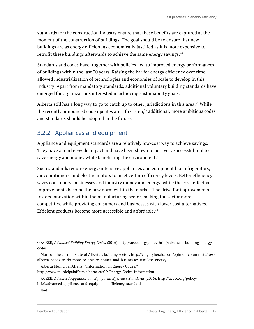standards for the construction industry ensure that these benefits are captured at the moment of the construction of buildings. The goal should be to ensure that new buildings are as energy efficient as economically justified as it is more expensive to retrofit these buildings afterwards to achieve the same energy savings. $24$ 

Standards and codes have, together with policies, led to improved energy performances of buildings within the last 30 years. Raising the bar for energy efficiency over time allowed industrialization of technologies and economies of scale to develop in this industry. Apart from mandatory standards, additional voluntary building standards have emerged for organizations interested in achieving sustainability goals.

Alberta still has a long way to go to catch up to other jurisdictions in this area. $^{25}$  While the recently announced code updates are a first step, $^{26}$  additional, more ambitious codes and standards should be adopted in the future.

#### 3.2.2 Appliances and equipment

Appliance and equipment standards are a relatively low-cost way to achieve savings. They have a market-wide impact and have been shown to be a very successful tool to save energy and money while benefitting the environment.<sup>27</sup>

Such standards require energy-intensive appliances and equipment like refrigerators, air conditioners, and electric motors to meet certain efficiency levels. Better efficiency saves consumers, businesses and industry money and energy, while the cost-effective improvements become the new norm within the market. The drive for improvements fosters innovation within the manufacturing sector, making the sector more competitive while providing consumers and businesses with lower cost alternatives. Efficient products become more accessible and affordable. 28

<sup>26</sup> Alberta Municipal Affairs, "Information on Energy Codes."

<sup>28</sup> Ibid.

<sup>24</sup> ACEEE, *Advanced Building Energy Codes* (2016). http://aceee.org/policy-brief/advanced-building-energycodes

<sup>25</sup> More on the current state of Alberta's building sector: http://calgaryherald.com/opinion/columnists/rowalberta-needs-to-do-more-to-ensure-homes-and-businesses-use-less-energy

http://www.municipalaffairs.alberta.ca/CP\_Energy\_Codes\_Information

<sup>27</sup> ACEEE, *Advanced Appliance and Equipment Efficiency Standards* (2016). http://aceee.org/policybrief/advanced-appliance-and-equipment-efficiency-standards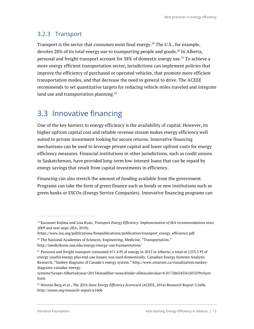#### 3.2.3 Transport

Transport is the sector that consumes most final energy. <sup>29</sup> The U.S., for example, devotes 28% of its total energy use to transporting people and goods.<sup>30</sup> In Alberta, personal and freight transport account for 38% of domestic energy use.<sup>31</sup> To achieve a more energy efficient transportation sector, jurisdictions can implement policies that improve the efficiency of purchased or operated vehicles, that promote more efficient transportation modes, and that decrease the need in general to drive. The ACEEE recommends to set quantitative targets for reducing vehicle miles traveled and integrate land use and transportation planning. $32$ 

## 3.3 Innovative financing

One of the key barriers to energy efficiency is the availability of capital. However, its higher upfront capital cost and reliable revenue stream makes energy efficiency well suited to private investment looking for secure returns. Innovative financing mechanisms can be used to leverage private capital and lower upfront costs for energy efficiency measures. Financial institutions in other jurisdictions, such as credit unions in Saskatchewan, have provided long-term low-interest loans that can be repaid by energy savings that result from capital investments in efficiency.

Financing can also stretch the amount of funding available from the government. Programs can take the form of green finance such as bonds or new institutions such as green banks or ESCOs (Energy Service Companies). Innovative financing programs can

<sup>29</sup> Kazunori Kojima and Lisa Ryan, *Transport Energy Efficiency: Implementation of IEA recommendations since 2009 and next steps* (IEA, 2010).

https://www.iea.org/publications/freepublications/publication/transport\_energy\_efficiency.pdf <sup>30</sup> The National Academies of Sciences, Engineering, Medicine, "Transportation."

http://needtoknow.nas.edu/energy/energy-use/transportation/

<sup>&</sup>lt;sup>31</sup> Personal and freight transport consumed 471.4 PJ of energy in 2013 in Alberta; a total of 1253.5 PJ of energy (useful energy plus end-use losses) was used domestically. Canadian Energy Systems Analysis Research, "Sankey diagrams of Canada's energy system." http://www.cesarnet.ca/visualization/sankeydiagrams-canadas-energy-

systems?scope=Alberta&year=2013&modifier=none&hide=all&scalevalue=0.01728654356185329#chartform

<sup>32</sup> Weston Berg et al., *The 2016 State Energy Efficiency Scorecard* (ACEEE, 2016) Research Report U1606. http://aceee.org/research-report/u1606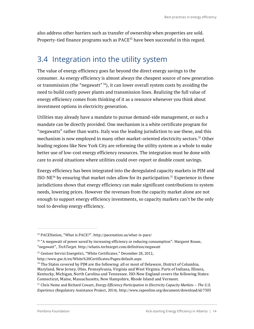also address other barriers such as transfer of ownership when properties are sold. Property-tied finance programs such as PACE<sup>33</sup> have been successful in this regard.

## 3.4 Integration into the utility system

The value of energy efficiency goes far beyond the direct energy savings to the consumer. As energy efficiency is almost always the cheapest source of new generation or transmission (the "negawatt"  $34$ ), it can lower overall system costs by avoiding the need to build costly power plants and transmission lines. Realizing the full value of energy efficiency comes from thinking of it as a resource whenever you think about investment options in electricity generation.

Utilities may already have a mandate to pursue demand-side management, or such a mandate can be directly provided. One mechanism is a white certificate program for "negawatts" rather than watts. Italy was the leading jurisdiction to use these, and this mechanism is now employed in many other market-oriented electricity sectors.<sup>35</sup> Other leading regions like New York City are reforming the utility system as a whole to make better use of low-cost energy efficiency resources. The integration must be done with care to avoid situations where utilities could over-report or double count savings.

Energy efficiency has been integrated into the deregulated capacity markets in PJM and ISO-NE $^{36}$  by ensuring that market rules allow for its participation. $^{37}$  Experience in these jurisdictions shows that energy efficiency can make significant contributions to system needs, lowering prices. However the revenues from the capacity market alone are not enough to support energy efficiency investments, so capacity markets can't be the only tool to develop energy efficiency.

<sup>37</sup> Chris Neme and Richard Cowart, *Energy Efficiency Participation in Electricity Capacity Markets – The U.S. Experience* (Regulatory Assistance Project, 2014). http://www.raponline.org/document/download/id/7303

<sup>33</sup> PACENation, "What is PACE?". http://pacenation.us/what-is-pace/

<sup>&</sup>lt;sup>34</sup> "A megawatt of power saved by increasing efficiency or reducing consumption": Margaret Rouse, "negawatt", *TechTarget.* http://whatis.techtarget.com/definition/negawatt

<sup>35</sup> Gestore Servizi Energetici, "White Certificates." December 28, 2012,

http://www.gse.it/en/White%20Certificates/Pages/default.aspx

 $36$  The States covered by PIM are the following: all or most of Delaware, District of Columbia, Maryland, New Jersey, Ohio, Pennsylvania, Virginia and West Virginia. Parts of Indiana, Illinois, Kentucky, Michigan, North Carolina and Tennessee. ISO-New England covers the following States: Connecticut, Maine, Massachusetts, New Hampshire, Rhode Island and Vermont.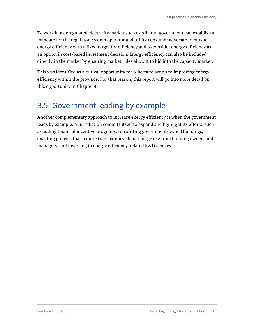To work in a deregulated electricity market such as Alberta, government can establish a mandate for the regulator, system operator and utility consumer advocate to pursue energy efficiency with a fixed target for efficiency and to consider energy efficiency as an option in cost-based investment decision. Energy efficiency can also be included directly in the market by ensuring market rules allow it to bid into the capacity market.

This was identified as a critical opportunity for Alberta to act on to improving energy efficiency within the province. For that reason, this report will go into more detail on this opportunity in Chapter 4.

# 3.5 Government leading by example

Another complementary approach to increase energy efficiency is when the government leads by example. A jurisdiction commits itself to expand and highlight its efforts, such as adding financial incentive programs, retrofitting government-owned buildings, enacting policies that require transparency about energy use from building owners and managers, and investing in energy efficiency-related R&D centres.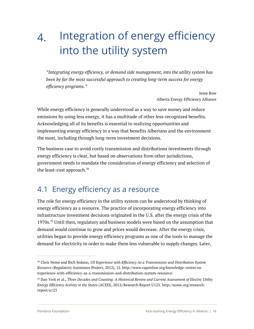# 4. Integration of energy efficiency into the utility system

*"Integrating energy efficiency, or demand side management, into the utility system has been by far the most successful approach to creating long-term success for energy efficiency programs."*

> Jesse Row Alberta Energy Efficiency Alliance

While energy efficiency is generally understood as a way to save money and reduce emissions by using less energy, it has a multitude of other less-recognized benefits. Acknowledging all of its benefits is essential to realizing opportunities and implementing energy efficiency in a way that benefits Albertans and the environment the most, including through long-term investment decisions.

The business case to avoid costly transmission and distributions investments through energy efficiency is clear, but based on observations from other jurisdictions, government needs to mandate the consideration of energy efficiency and selection of the least-cost approach. $38$ 

### 4.1 Energy efficiency as a resource

The role for energy efficiency in the utility system can be understood by thinking of energy efficiency as a resource. The practice of incorporating energy efficiency into infrastructure investment decisions originated in the U.S. after the energy crisis of the 1970s.<sup>39</sup> Until then, regulatory and business models were based on the assumption that demand would continue to grow and prices would decrease. After the energy crisis, utilities began to provide energy efficiency programs as one of the tools to manage the demand for electricity in order to make them less vulnerable to supply changes. Later,

<sup>38</sup> Chris Neme and Rich Sedano, *US Experience with Efficiency As a Transmission and Distribution System Resource* (Regulatory Assistance Project, 2012), 12. http://www.raponline.org/knowledge-center/usexperience-with-efficiency-as-a-transmission-and-distribution-system-resource/

<sup>39</sup> Dan York et al., *Three Decades and Counting: A Historical Review and Current Assessment of Electric Utility Energy Efficiency Activity in the States* (ACEEE, 2012) Research Report U123. http://aceee.org/researchreport/u123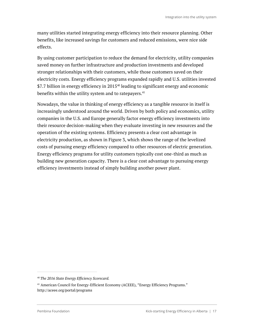many utilities started integrating energy efficiency into their resource planning. Other benefits, like increased savings for customers and reduced emissions, were nice side effects.

By using customer participation to reduce the demand for electricity, utility companies saved money on further infrastructure and production investments and developed stronger relationships with their customers, while those customers saved on their electricity costs. Energy efficiency programs expanded rapidly and U.S. utilities invested \$7.7 billion in energy efficiency in 2015<sup>40</sup> leading to significant energy and economic benefits within the utility system and to ratepayers. $41$ 

Nowadays, the value in thinking of energy efficiency as a tangible resource in itself is increasingly understood around the world. Driven by both policy and economics, utility companies in the U.S. and Europe generally factor energy efficiency investments into their resource decision-making when they evaluate investing in new resources and the operation of the existing systems. Efficiency presents a clear cost advantage in electricity production, as shown in Figure 3, which shows the range of the levelized costs of pursuing energy efficiency compared to other resources of electric generation. Energy efficiency programs for utility customers typically cost one-third as much as building new generation capacity. There is a clear cost advantage to pursuing energy efficiency investments instead of simply building another power plant.

<sup>40</sup> *The 2016 State Energy Efficiency Scorecard.*

<sup>41</sup> American Council for Energy-Efficient Economy (ACEEE), "Energy Efficiency Programs." http://aceee.org/portal/programs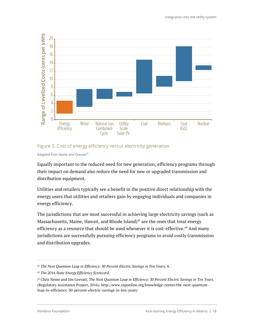

#### Figure 3. Cost of energy efficiency versus electricity generation

Adapted from Neme and Grevatt<sup>42</sup>

Equally important to the reduced need for new generation, efficiency programs through their impact on demand also reduce the need for new or upgraded transmission and distribution equipment.

Utilities and retailers typically see a benefit in the positive direct relationship with the energy users that utilities and retailers gain by engaging individuals and companies in energy efficiency.

The jurisdictions that are most successful in achieving large electricity savings (such as Massachusetts, Maine, Hawaii, and Rhode Island) $43$  are the ones that treat energy efficiency as a resource that should be used whenever it is cost-effective.<sup>44</sup> And many jurisdictions are successfully pursuing efficiency programs to avoid costly transmission and distribution upgrades.

<sup>42</sup> *The Next Quantum Leap in Efficiency: 30 Percent Electric Savings in Ten Years,* 4.

<sup>43</sup> *The 2016 State Energy Efficiency Scorecard.*

<sup>44</sup> Chris Neme and Jim Grevatt, *The Next Quantum Leap in Efficiency: 30 Percent Electric Savings in Ten Years.* (Regulatory Assistance Project, 2016). http://www.raponline.org/knowledge-center/the-next-quantumleap-in-efficiency-30-percent-electric-savings-in-ten-years/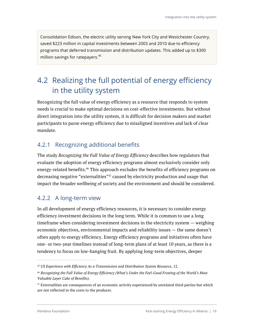Consolidation Edison, the electric utility serving New York City and Westchester Country, saved \$223 million in capital investments between 2003 and 2010 due to efficiency programs that deferred transmission and distribution updates. This added up to \$300 million savings for ratepayers. 45

# 4.2 Realizing the full potential of energy efficiency in the utility system

Recognizing the full value of energy efficiency as a resource that responds to system needs is crucial to make optimal decisions on cost-effective investments. But without direct integration into the utility system, it is difficult for decision makers and market participants to purse energy efficiency due to misaligned incentives and lack of clear mandate.

#### 4.2.1 Recognizing additional benefits

The study *Recognizing the Full Value of Energy Efficiency* describes how regulators that evaluate the adoption of energy efficiency programs almost exclusively consider only energy-related benefits.46 This approach excludes the benefits of efficiency programs on decreasing negative "externalities"<sup>47</sup> caused by electricity production and usage that impact the broader wellbeing of society and the environment and should be considered.

#### 4.2.2 A long-term view

In all development of energy efficiency resources, it is necessary to consider energy efficiency investment decisions in the long term. While it is common to use a long timeframe when considering investment decisions in the electricity system — weighing economic objectives, environmental impacts and reliability issues — the same doesn't often apply to energy efficiency. Energy efficiency programs and initiatives often have one- or two-year timelines instead of long-term plans of at least 10 years, as there is a tendency to focus on low-hanging fruit. By applying long-term objectives, deeper

<sup>45</sup> *US Experience with Efficiency As a Transmission and Distribution System Resource*, 12.

<sup>46</sup> *Recognizing the Full Value of Energy Efficiency (What's Under the Feel-Good Frosting of the World's Most Valuable Layer Cake of Benefits).*

 $47$  Externalities are consequences of an economic activity experienced by unrelated third parties but which are not reflected in the costs to the producer.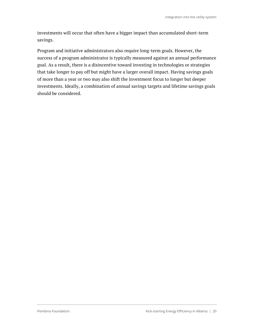investments will occur that often have a bigger impact than accumulated short-term savings.

Program and initiative administrators also require long-term goals. However, the success of a program administrator is typically measured against an annual performance goal. As a result, there is a disincentive toward investing in technologies or strategies that take longer to pay off but might have a larger overall impact. Having savings goals of more than a year or two may also shift the investment focus to longer but deeper investments. Ideally, a combination of annual savings targets and lifetime savings goals should be considered.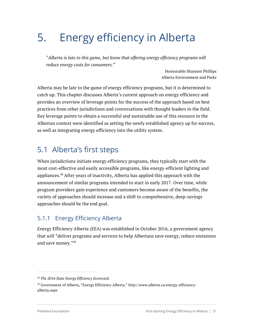# 5. Energy efficiency in Alberta

*"Alberta is late to this game, but know that offering energy efficiency programs will reduce energy costs for consumers."*

> Honourable Shannon Phillips Alberta Environment and Parks

Alberta may be late to the game of energy efficiency programs, but it is determined to catch up. This chapter discusses Alberta's current approach on energy efficiency and provides an overview of leverage points for the success of the approach based on best practices from other jurisdictions and conversations with thought leaders in the field. Key leverage points to obtain a successful and sustainable use of this resource in the Albertan context were identified as setting the newly established agency up for success, as well as integrating energy efficiency into the utility system.

### 5.1 Alberta's first steps

When jurisdictions initiate energy efficiency programs, they typically start with the most cost-effective and easily accessible programs, like energy-efficient lighting and appliances.48 After years of inactivity, Alberta has applied this approach with the announcement of similar programs intended to start in early 2017. Over time, while program providers gain experience and customers become aware of the benefits, the variety of approaches should increase and a shift to comprehensive, deep-savings approaches should be the end goal.

#### 5.1.1 Energy Efficiency Alberta

Energy Efficiency Alberta (EEA) was established in October 2016, a government agency that will "deliver programs and services to help Albertans save energy, reduce emissions and save money."49

<sup>48</sup> *The 2016 State Energy Efficiency Scorecard.*

<sup>49</sup> Government of Alberta, "Energy Efficiency Alberta." http://www.alberta.ca/energy-efficiencyalberta.aspx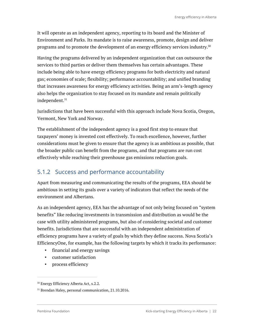It will operate as an independent agency, reporting to its board and the Minister of Environment and Parks. Its mandate is to raise awareness, promote, design and deliver programs and to promote the development of an energy efficiency services industry. $^{\rm 50}$ 

Having the programs delivered by an independent organization that can outsource the services to third parties or deliver them themselves has certain advantages. These include being able to have energy efficiency programs for both electricity and natural gas; economies of scale; flexibility; performance accountability; and unified branding that increases awareness for energy efficiency activities. Being an arm's-length agency also helps the organization to stay focused on its mandate and remain politically independent. 51

Jurisdictions that have been successful with this approach include Nova Scotia, Oregon, Vermont, New York and Norway.

The establishment of the independent agency is a good first step to ensure that taxpayers' money is invested cost effectively. To reach excellence, however, further considerations must be given to ensure that the agency is as ambitious as possible, that the broader public can benefit from the programs, and that programs are run cost effectively while reaching their greenhouse gas emissions reduction goals.

#### 5.1.2 Success and performance accountability

Apart from measuring and communicating the results of the programs, EEA should be ambitious in setting its goals over a variety of indicators that reflect the needs of the environment and Albertans.

As an independent agency, EEA has the advantage of not only being focused on "system benefits" like reducing investments in transmission and distribution as would be the case with utility administered programs, but also of considering societal and customer benefits. Jurisdictions that are successful with an independent administration of efficiency programs have a variety of goals by which they define success. Nova Scotia's EfficiencyOne, for example, has the following targets by which it tracks its performance:

- financial and energy savings
- customer satisfaction
- process efficiency

<sup>50</sup> Energy Efficiency Alberta Act, s.2.2.

<sup>51</sup> Brendan Haley, personal communication, 21.10.2016.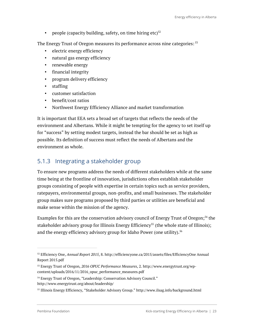• people (capacity building, safety, on time hiring etc) $52$ 

The Energy Trust of Oregon measures its performance across nine categories:  $53$ 

- electric energy efficiency
- natural gas energy efficiency
- renewable energy
- financial integrity
- program delivery efficiency
- staffing
- customer satisfaction
- benefit/cost ratios
- Northwest Energy Efficiency Alliance and market transformation

It is important that EEA sets a broad set of targets that reflects the needs of the environment and Albertans. While it might be tempting for the agency to set itself up for "success" by setting modest targets, instead the bar should be set as high as possible. Its definition of success must reflect the needs of Albertans and the environment as whole.

#### 5.1.3 Integrating a stakeholder group

To ensure new programs address the needs of different stakeholders while at the same time being at the frontline of innovation, jurisdictions often establish stakeholder groups consisting of people with expertise in certain topics such as service providers, ratepayers, environmental groups, non-profits, and small businesses. The stakeholder group makes sure programs proposed by third parties or utilities are beneficial and make sense within the mission of the agency.

Examples for this are the conservation advisory council of Energy Trust of Oregon; <sup>54</sup> the stakeholder advisory group for Illinois Energy Efficiency<sup>55</sup> (the whole state of Illinois); and the energy efficiency advisory group for Idaho Power (one utility). 56

<sup>52</sup> Efficiency One, *Annual Report 2015*, 8. http://efficiencyone.ca/2015/assets/files/EfficiencyOne Annual Report 2015.pdf

<sup>53</sup> Energy Trust of Oregon, *2016 OPUC Performance Measures*, 2. http://www.energytrust.org/wpcontent/uploads/2016/11/2016\_opuc\_performance\_measures.pdf

<sup>&</sup>lt;sup>54</sup> Energy Trust of Oregon, "Leadership: Conservation Advisory Council." http://www.energytrust.org/about/leadership/

<sup>55</sup> Illinois Energy Efficiency, "Stakeholder Advisory Group." http://www.ilsag.info/background.html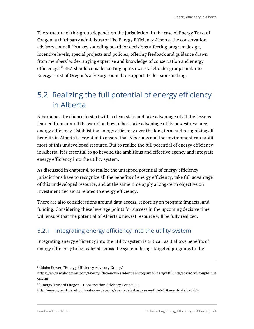The structure of this group depends on the jurisdiction. In the case of Energy Trust of Oregon, a third party administrator like Energy Efficiency Alberta, the conservation advisory council "is a key sounding board for decisions affecting program design, incentive levels, special projects and policies, offering feedback and guidance drawn from members' wide-ranging expertise and knowledge of conservation and energy efficiency."<sup>57</sup> EEA should consider setting up its own stakeholder group similar to Energy Trust of Oregon's advisory council to support its decision-making.

## 5.2 Realizing the full potential of energy efficiency in Alberta

Alberta has the chance to start with a clean slate and take advantage of all the lessons learned from around the world on how to best take advantage of its newest resource, energy efficiency. Establishing energy efficiency over the long term and recognizing all benefits in Alberta is essential to ensure that Albertans and the environment can profit most of this undeveloped resource. But to realize the full potential of energy efficiency in Alberta, it is essential to go beyond the ambitious and effective agency and integrate energy efficiency into the utility system.

As discussed in chapter 4, to realize the untapped potential of energy efficiency jurisdictions have to recognize all the benefits of energy efficiency, take full advantage of this undeveloped resource, and at the same time apply a long-term objective on investment decisions related to energy efficiency.

There are also considerations around data access, reporting on program impacts, and funding. Considering these leverage points for success in the upcoming decisive time will ensure that the potential of Alberta's newest resource will be fully realized.

#### 5.2.1 Integrating energy efficiency into the utility system

Integrating energy efficiency into the utility system is critical, as it allows benefits of energy efficiency to be realized across the system; brings targeted programs to the

<sup>56</sup> Idaho Power, "Energy Efficiency Advisory Group."

https://www.idahopower.com/EnergyEfficiency/Residential/Programs/EnergyEffFunds/advisoryGroupMinut es.cfm

<sup>57</sup> Energy Trust of Oregon, "Conservation Advisory Council." ,

http://energytrust.devel.pollinate.com/events/event-detail.aspx?eventid=621&eventdateid=7294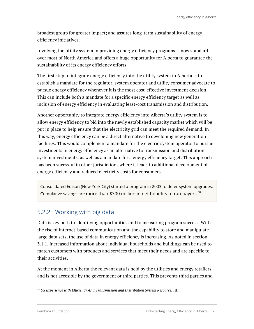broadest group for greater impact; and assures long-term sustainability of energy efficiency initiatives.

Involving the utility system in providing energy efficiency programs is now standard over most of North America and offers a huge opportunity for Alberta to guarantee the sustainability of its energy efficiency efforts.

The first step to integrate energy efficiency into the utility system in Alberta is to establish a mandate for the regulator, system operator and utility consumer advocate to pursue energy efficiency whenever it is the most cost-effective investment decision. This can include both a mandate for a specific energy efficiency target as well as inclusion of energy efficiency in evaluating least-cost transmission and distribution.

Another opportunity to integrate energy efficiency into Alberta's utility system is to allow energy efficiency to bid into the newly established capacity market which will be put in place to help ensure that the electricity grid can meet the required demand. In this way, energy efficiency can be a direct alternative to developing new generation facilities. This would complement a mandate for the electric system operator to pursue investments in energy efficiency as an alternative to transmission and distribution system investments, as well as a mandate for a energy efficiency target. This approach has been sucessful in other jurisdictions where it leads to additional development of energy efficiency and reduced electricity costs for consumers.

Consolidated Edison (New York City) started a program in 2003 to defer system upgrades. Cumulative savings are more than \$300 million in net benefits to ratepayers. $^{58}$ 

#### 5.2.2 Working with big data

Data is key both to identifying opportunities and to measuring program success. With the rise of internet-based communication and the capability to store and manipulate large data sets, the use of data in energy efficiency is increasing. As noted in section 3.1.1, increased information about individual households and buildings can be used to match customers with products and services that meet their needs and are specific to their activities.

At the moment in Alberta the relevant data is held by the utilities and energy retailers, and is not accesible by the government or third parties. This prevents third parties and

<sup>58</sup> *US Experience with Efficiency As a Transmission and Distribution System Resource,* III.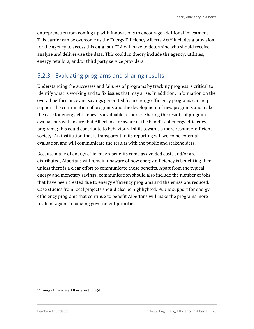entrepreneurs from coming up with innovations to encourage additional investment. This barrier can be overcome as the Energy Efficiency Alberta Act<sup>59</sup> includes a provision for the agency to access this data, but EEA will have to determine who should receive, analyze and deliver/use the data. This could in theory include the agency, utilities, energy retailors, and/or third party service providers.

#### 5.2.3 Evaluating programs and sharing results

Understanding the successes and failures of programs by tracking progress is critical to identify what is working and to fix issues that may arise. In addition, information on the overall performance and savings generated from energy efficiency programs can help support the continuation of programs and the development of new programs and make the case for energy efficiency as a valuable resource. Sharing the results of program evaluations will ensure that Albertans are aware of the benefits of energy efficiency programs; this could contribute to behavioural shift towards a more resource-efficient society. An institution that is transparent in its reporting will welcome external evaluation and will communicate the results with the public and stakeholders.

Because many of energy efficiency's benefits come as avoided costs and/or are distributed, Albertans will remain unaware of how energy efficiency is benefiting them unless there is a clear effort to communicate these benefits. Apart from the typical energy and monetary savings, communication should also include the number of jobs that have been created due to energy efficiency programs and the emissions reduced. Case studies from local projects should also be highlighted. Public support for energy efficiency programs that continue to benefit Albertans will make the programs more resilient against changing government priorities.

<sup>59</sup> Energy Efficiency Alberta Act, s14(d).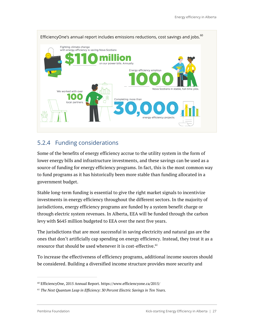

#### 5.2.4 Funding considerations

Some of the benefits of energy efficiency accrue to the utility system in the form of lower energy bills and infrastructure investments, and these savings can be used as a source of funding for energy efficiency programs. In fact, this is the most common way to fund programs as it has historically been more stable than funding allocated in a government budget.

Stable long-term funding is essential to give the right market signals to incentivize investments in energy efficiency throughout the different sectors. In the majority of jurisdictions, energy efficiency programs are funded by a system benefit charge or through electric system revenues. In Alberta, EEA will be funded through the carbon levy with \$645 million budgeted to EEA over the next five years.

The jurisdictions that are most successful in saving electricity and natural gas are the ones that don't artificially cap spending on energy efficiency. Instead, they treat it as a resource that should be used whenever it is cost-effective. 61

To increase the effectiveness of efficiency programs, additional income sources should be considered. Building a diversified income structure provides more security and

<sup>60</sup> EfficiencyOne, 2015 Annual Report. https://www.efficiencyone.ca/2015/

<sup>61</sup> *The Next Quantum Leap in Efficiency: 30 Percent Electric Savings in Ten Years.*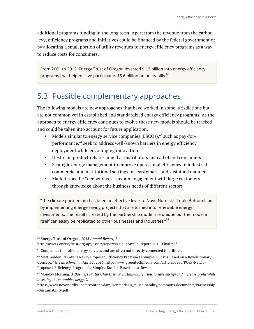additional programs funding in the long term. Apart from the revenue from the carbon levy, efficiency programs and initiatives could be financed by the federal government or by allocating a small portion of utility revenues to energy efficiency programs as a way to reduce costs for consumers.

From 2001 to 2015, Energy Trust of Oregon invested \$1.3 billion into energy efficiency programs that helped save participants \$5.6 billion on utility bills. $^{62}$ 

## 5.3 Possible complementary approaches

The following models are new approaches that have worked in some jurisdictions but are not common yet in established and standardized energy efficiency programs. As the approach to energy efficiency continues to evolve these new models should be tracked and could be taken into account for future application.

- Models similar to energy service companies  $(ESCOs),<sup>63</sup>$  such as pay-forperformance, <sup>64</sup> seek to address well-known barriers in energy efficiency deployment while encouraging innovation
- Upstream product rebates aimed at distributors instead of end consumers
- Strategic energy management to improve operational efficiency in industrial, commercial and institutional settings in a systematic and sustained manner
- Market-specific "deeper dives" sustain engagement with large customers through knowledge about the business needs of different sectors

"The climate partnership has been an effective lever to Novo Nordisk's Triple Bottom Line by implementing energy-saving projects that are turned into renewable energy investments. The results created by the partnership model are unique but the model in itself can easily be replicated to other businesses and industries."<sup>65</sup>

<sup>62</sup> Energy Trust of Oregon, *2015 Annual Report,* 2.

http://assets.energytrust.org/api/assets/reports/PublicAnnualReport\_2015\_Final.pdf

 $63$  Companies that offer energy services and are often not directly connected to utilities.

<sup>64</sup> Matt Golden, "PG&E's Newly Proposed Efficiency Program Is Simple. But It's Based on a Revolutionary Concept," *Greentechmedia,* April 7, 2016. http://www.greentechmedia.com/articles/read/PGEs-Newly-Proposed-Efficiency-Program-Is-Simple.-But-Its-Based-on-a-Rev

<sup>65</sup> Monday Morning, *A Business Partnership Driving Sustainability: How to save energy and increase profit while investing in renewable energy,* 2*.*

https://www.novonordisk.com/content/dam/Denmark/HQ/sustainability/commons/documents/Partnership -Sustainability.pdf